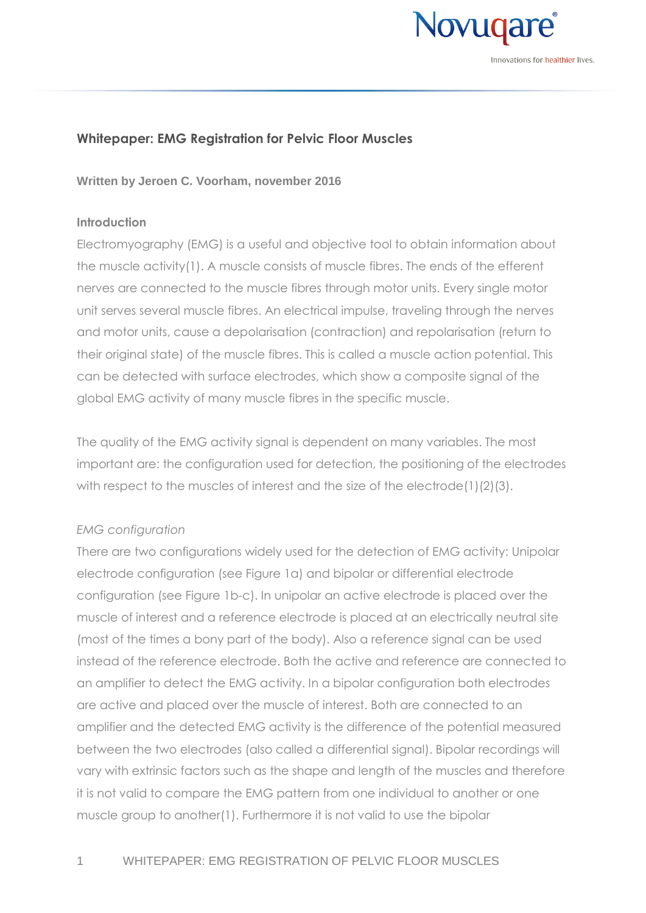

Innovations for **healthier** lives

# **Whitepaper: EMG Registration for Pelvic Floor Muscles**

**Written by Jeroen C. Voorham, november 2016**

## **Introduction**

Electromyography (EMG) is a useful and objective tool to obtain information about the muscle activit[y\(1\).](#page-6-0) A muscle consists of muscle fibres. The ends of the efferent nerves are connected to the muscle fibres through motor units. Every single motor unit serves several muscle fibres. An electrical impulse, traveling through the nerves and motor units, cause a depolarisation (contraction) and repolarisation (return to their original state) of the muscle fibres. This is called a muscle action potential. This can be detected with surface electrodes, which show a composite signal of the global EMG activity of many muscle fibres in the specific muscle.

The quality of the EMG activity signal is dependent on many variables. The most important are: the configuration used for detection, the positioning of the electrodes with respect to the muscles of interest and the size of the electrod[e\(1\)\(2\)](#page-6-0)[\(3\).](#page-6-1)

## *EMG configuration*

There are two configurations widely used for the detection of EMG activity: Unipolar electrode configuration (see [Figure 1a](#page-1-0)) and bipolar or differential electrode configuration (see [Figure 1b](#page-1-0)-c). In unipolar an active electrode is placed over the muscle of interest and a reference electrode is placed at an electrically neutral site (most of the times a bony part of the body). Also a reference signal can be used instead of the reference electrode. Both the active and reference are connected to an amplifier to detect the EMG activity. In a bipolar configuration both electrodes are active and placed over the muscle of interest. Both are connected to an amplifier and the detected EMG activity is the difference of the potential measured between the two electrodes (also called a differential signal). Bipolar recordings will vary with extrinsic factors such as the shape and length of the muscles and therefore it is not valid to compare the EMG pattern from one individual to another or one muscle group to anothe[r\(1\).](#page-6-0) Furthermore it is not valid to use the bipolar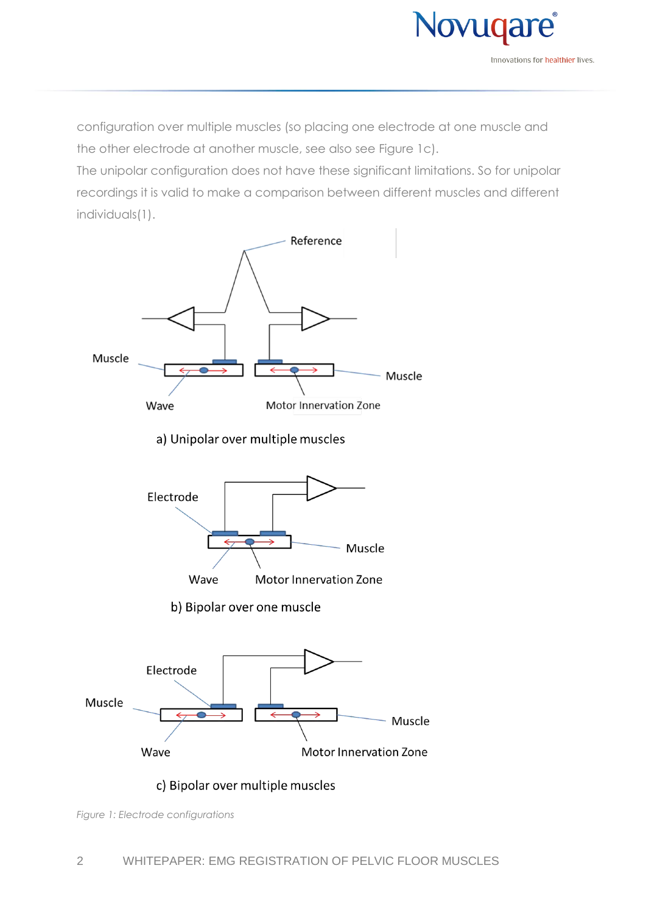

configuration over multiple muscles (so placing one electrode at one muscle and the other electrode at another muscle, see also see [Figure 1c](#page-1-0)).

The unipolar configuration does not have these significant limitations. So for unipolar recordings it is valid to make a comparison between different muscles and different individual[s\(1\).](#page-6-0)



<span id="page-1-0"></span>*Figure 1: Electrode configurations*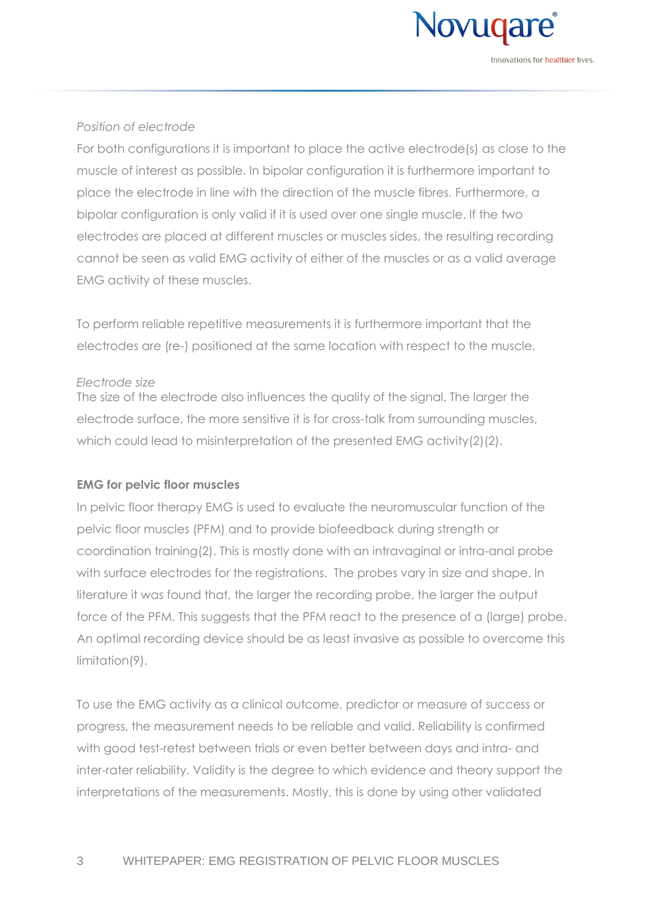

## *Position of electrode*

For both configurations it is important to place the active electrode(s) as close to the muscle of interest as possible. In bipolar configuration it is furthermore important to place the electrode in line with the direction of the muscle fibres. Furthermore, a bipolar configuration is only valid if it is used over one single muscle. If the two electrodes are placed at different muscles or muscles sides, the resulting recording cannot be seen as valid EMG activity of either of the muscles or as a valid average EMG activity of these muscles.

To perform reliable repetitive measurements it is furthermore important that the electrodes are (re-) positioned at the same location with respect to the muscle.

#### *Electrode size*

The size of the electrode also influences the quality of the signal. The larger the electrode surface, the more sensitive it is for cross-talk from surrounding muscles, which could lead to misinterpretation of the presented EMG activit[y\(2\)\(2\).](#page-6-2)

## **EMG for pelvic floor muscles**

In pelvic floor therapy EMG is used to evaluate the neuromuscular function of the pelvic floor muscles (PFM) and to provide biofeedback during strength or coordination trainin[g\(2\).](#page-6-2) This is mostly done with an intravaginal or intra-anal probe with surface electrodes for the registrations. The probes vary in size and shape. In literature it was found that, the larger the recording probe, the larger the output force of the PFM. This suggests that the PFM react to the presence of a (large) probe. An optimal recording device should be as least invasive as possible to overcome this limitatio[n\(9\).](#page-6-3)

To use the EMG activity as a clinical outcome, predictor or measure of success or progress, the measurement needs to be reliable and valid. Reliability is confirmed with good test-retest between trials or even better between days and intra- and inter-rater reliability. Validity is the degree to which evidence and theory support the interpretations of the measurements. Mostly, this is done by using other validated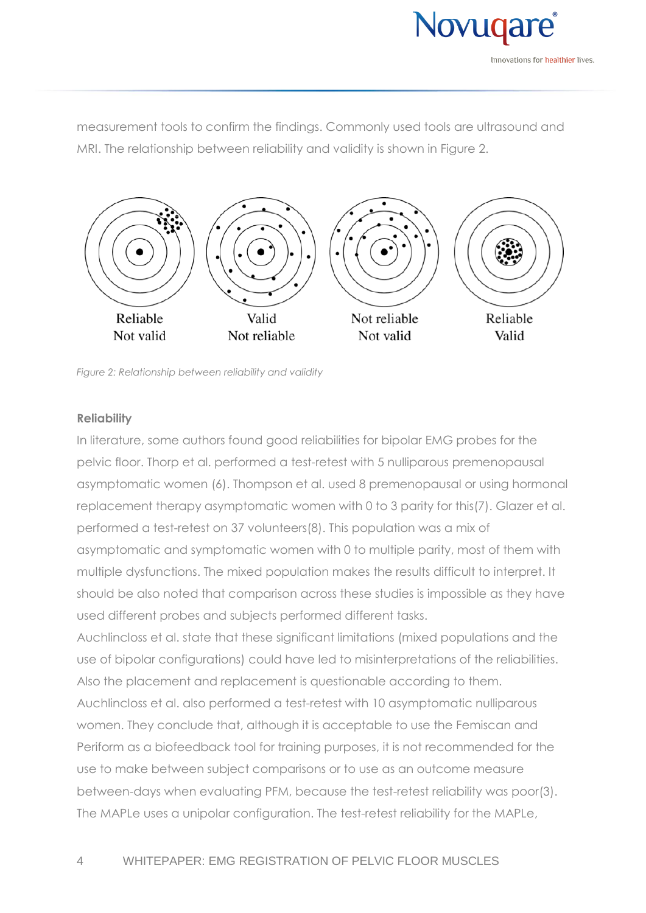

measurement tools to confirm the findings. Commonly used tools are ultrasound and MRI. The relationship between reliability and validity is shown in [Figure 2.](#page-3-0)



<span id="page-3-0"></span>*Figure 2: Relationship between reliability and validity*

# **Reliability**

In literature, some authors found good reliabilities for bipolar EMG probes for the pelvic floor. Thorp et al. performed a test-retest with 5 nulliparous premenopausal asymptomatic women [\(6\).](#page-6-4) Thompson et al. used 8 premenopausal or using hormonal replacement therapy asymptomatic women with 0 to 3 parity for thi[s\(7\).](#page-6-5) Glazer et al. performed a test-retest on 37 volunteer[s\(8\).](#page-6-6) This population was a mix of asymptomatic and symptomatic women with 0 to multiple parity, most of them with multiple dysfunctions. The mixed population makes the results difficult to interpret. It should be also noted that comparison across these studies is impossible as they have used different probes and subjects performed different tasks.

Auchlincloss et al. state that these significant limitations (mixed populations and the use of bipolar configurations) could have led to misinterpretations of the reliabilities. Also the placement and replacement is questionable according to them. Auchlincloss et al. also performed a test-retest with 10 asymptomatic nulliparous women. They conclude that, although it is acceptable to use the Femiscan and Periform as a biofeedback tool for training purposes, it is not recommended for the use to make between subject comparisons or to use as an outcome measure between-days when evaluating PFM, because the test-retest reliability was poo[r\(3\).](#page-6-1) The MAPLe uses a unipolar configuration. The test-retest reliability for the MAPLe,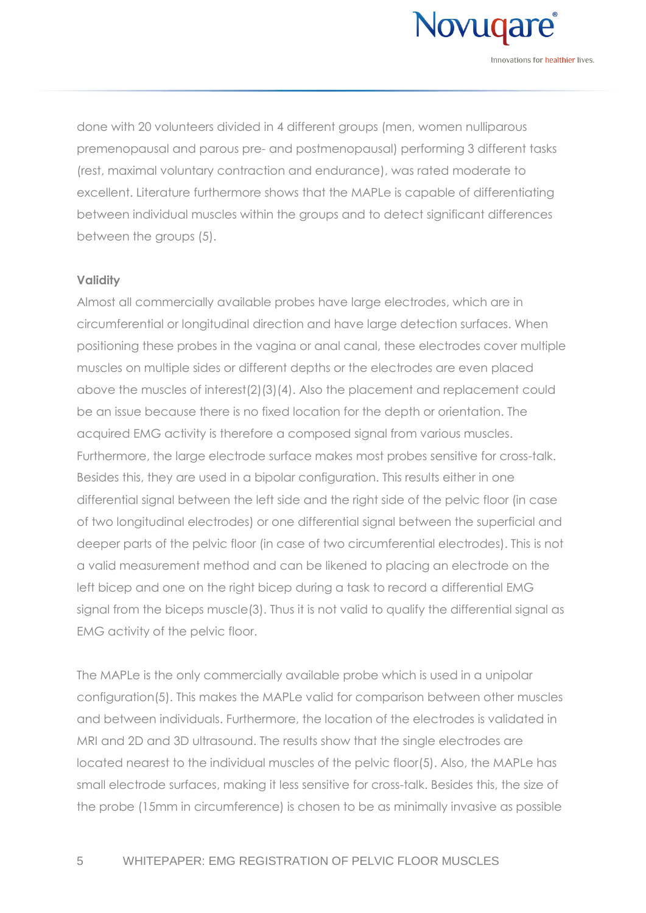

done with 20 volunteers divided in 4 different groups (men, women nulliparous premenopausal and parous pre- and postmenopausal) performing 3 different tasks (rest, maximal voluntary contraction and endurance), was rated moderate to excellent. Literature furthermore shows that the MAPLe is capable of differentiating between individual muscles within the groups and to detect significant differences between the groups [\(5\).](#page-6-7)

#### **Validity**

Almost all commercially available probes have large electrodes, which are in circumferential or longitudinal direction and have large detection surfaces. When positioning these probes in the vagina or anal canal, these electrodes cover multiple muscles on multiple sides or different depths or the electrodes are even placed above the muscles of interes[t\(2\)\(3\)](#page-6-2)[\(4\).](#page-6-8) Also the placement and replacement could be an issue because there is no fixed location for the depth or orientation. The acquired EMG activity is therefore a composed signal from various muscles. Furthermore, the large electrode surface makes most probes sensitive for cross-talk. Besides this, they are used in a bipolar configuration. This results either in one differential signal between the left side and the right side of the pelvic floor (in case of two longitudinal electrodes) or one differential signal between the superficial and deeper parts of the pelvic floor (in case of two circumferential electrodes). This is not a valid measurement method and can be likened to placing an electrode on the left bicep and one on the right bicep during a task to record a differential EMG signal from the biceps muscl[e\(3\).](#page-6-1) Thus it is not valid to qualify the differential signal as EMG activity of the pelvic floor.

The MAPLe is the only commercially available probe which is used in a unipolar configuratio[n\(5\).](#page-6-7) This makes the MAPLe valid for comparison between other muscles and between individuals. Furthermore, the location of the electrodes is validated in MRI and 2D and 3D ultrasound. The results show that the single electrodes are located nearest to the individual muscles of the pelvic floo[r\(5\).](#page-6-7) Also, the MAPLe has small electrode surfaces, making it less sensitive for cross-talk. Besides this, the size of the probe (15mm in circumference) is chosen to be as minimally invasive as possible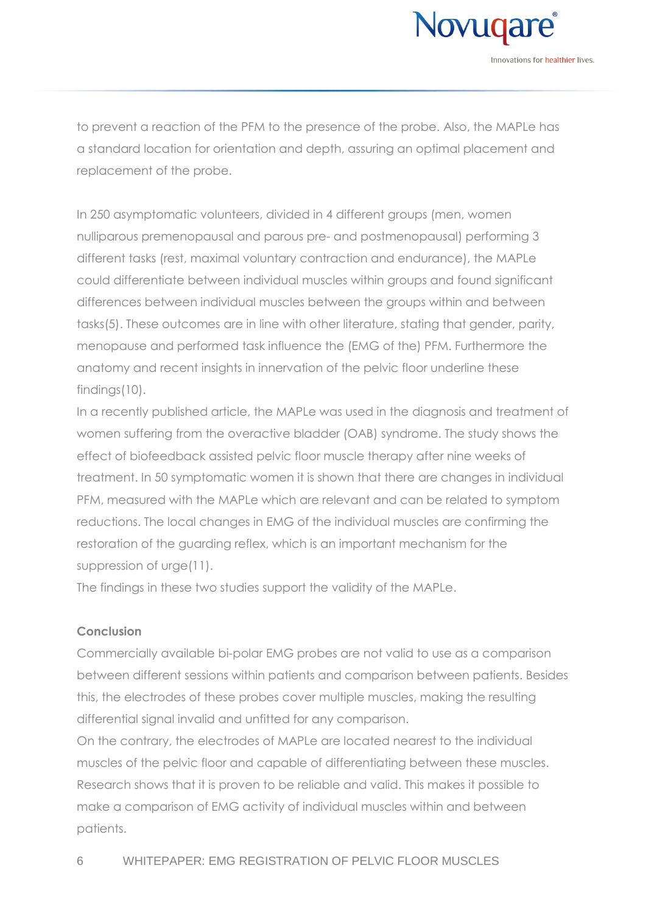

to prevent a reaction of the PFM to the presence of the probe. Also, the MAPLe has a standard location for orientation and depth, assuring an optimal placement and replacement of the probe.

In 250 asymptomatic volunteers, divided in 4 different groups (men, women nulliparous premenopausal and parous pre- and postmenopausal) performing 3 different tasks (rest, maximal voluntary contraction and endurance), the MAPLe could differentiate between individual muscles within groups and found significant differences between individual muscles between the groups within and between task[s\(5\).](#page-6-7) These outcomes are in line with other literature, stating that gender, parity, menopause and performed task influence the (EMG of the) PFM. Furthermore the anatomy and recent insights in innervation of the pelvic floor underline these finding[s\(10\).](#page-6-9)

In a recently published article, the MAPLe was used in the diagnosis and treatment of women suffering from the overactive bladder (OAB) syndrome. The study shows the effect of biofeedback assisted pelvic floor muscle therapy after nine weeks of treatment. In 50 symptomatic women it is shown that there are changes in individual PFM, measured with the MAPLe which are relevant and can be related to symptom reductions. The local changes in EMG of the individual muscles are confirming the restoration of the guarding reflex, which is an important mechanism for the suppression of urg[e\(11\).](#page-6-10)

The findings in these two studies support the validity of the MAPLe.

# **Conclusion**

Commercially available bi-polar EMG probes are not valid to use as a comparison between different sessions within patients and comparison between patients. Besides this, the electrodes of these probes cover multiple muscles, making the resulting differential signal invalid and unfitted for any comparison.

On the contrary, the electrodes of MAPLe are located nearest to the individual muscles of the pelvic floor and capable of differentiating between these muscles. Research shows that it is proven to be reliable and valid. This makes it possible to make a comparison of EMG activity of individual muscles within and between patients.